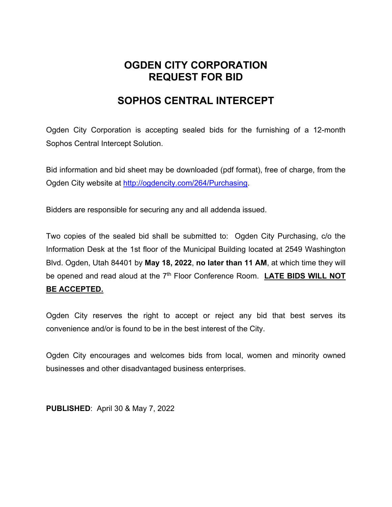## **OGDEN CITY CORPORATION REQUEST FOR BID**

## **SOPHOS CENTRAL INTERCEPT**

Ogden City Corporation is accepting sealed bids for the furnishing of a 12-month Sophos Central Intercept Solution.

Bid information and bid sheet may be downloaded (pdf format), free of charge, from the Ogden City website at http://ogdencity.com/264/Purchasing.

Bidders are responsible for securing any and all addenda issued.

Two copies of the sealed bid shall be submitted to: Ogden City Purchasing, c/o the Information Desk at the 1st floor of the Municipal Building located at 2549 Washington Blvd. Ogden, Utah 84401 by **May 18, 2022**, **no later than 11 AM**, at which time they will be opened and read aloud at the 7<sup>th</sup> Floor Conference Room. LATE BIDS WILL NOT **BE ACCEPTED.** 

Ogden City reserves the right to accept or reject any bid that best serves its convenience and/or is found to be in the best interest of the City.

Ogden City encourages and welcomes bids from local, women and minority owned businesses and other disadvantaged business enterprises.

**PUBLISHED**: April 30 & May 7, 2022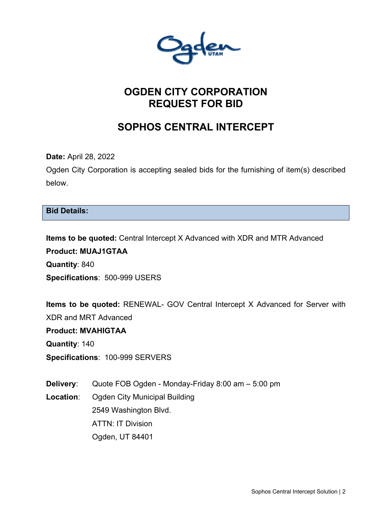# **OGDEN CITY CORPORATION REQUEST FOR BID**

# **SOPHOS CENTRAL INTERCEPT**

**Date:** April 28, 2022

Ogden City Corporation is accepting sealed bids for the furnishing of item(s) described below.

### **Bid Details:**

**Items to be quoted:** Central Intercept X Advanced with XDR and MTR Advanced **Product: MUAJ1GTAA Quantity**: 840 **Specifications**: 500-999 USERS

**Items to be quoted:** RENEWAL- GOV Central Intercept X Advanced for Server with XDR and MRT Advanced

**Product: MVAHIGTAA**

**Quantity**: 140

**Specifications**: 100-999 SERVERS

**Delivery**: Quote FOB Ogden - Monday-Friday 8:00 am – 5:00 pm **Location**: Ogden City Municipal Building 2549 Washington Blvd. ATTN: IT Division Ogden, UT 84401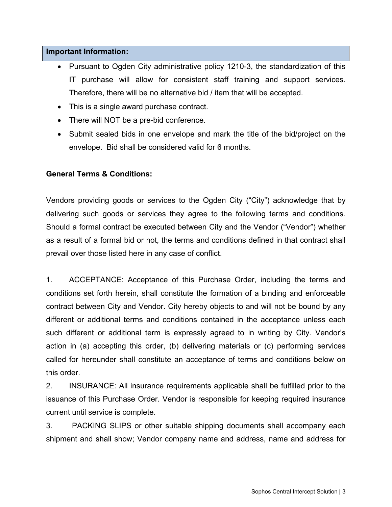#### **Important Information:**

- Pursuant to Ogden City administrative policy 1210-3, the standardization of this IT purchase will allow for consistent staff training and support services. Therefore, there will be no alternative bid / item that will be accepted.
- This is a single award purchase contract.
- There will NOT be a pre-bid conference.
- Submit sealed bids in one envelope and mark the title of the bid/project on the envelope. Bid shall be considered valid for 6 months.

### **General Terms & Conditions:**

Vendors providing goods or services to the Ogden City ("City") acknowledge that by delivering such goods or services they agree to the following terms and conditions. Should a formal contract be executed between City and the Vendor ("Vendor") whether as a result of a formal bid or not, the terms and conditions defined in that contract shall prevail over those listed here in any case of conflict.

1. ACCEPTANCE: Acceptance of this Purchase Order, including the terms and conditions set forth herein, shall constitute the formation of a binding and enforceable contract between City and Vendor. City hereby objects to and will not be bound by any different or additional terms and conditions contained in the acceptance unless each such different or additional term is expressly agreed to in writing by City. Vendor's action in (a) accepting this order, (b) delivering materials or (c) performing services called for hereunder shall constitute an acceptance of terms and conditions below on this order.

2. INSURANCE: All insurance requirements applicable shall be fulfilled prior to the issuance of this Purchase Order. Vendor is responsible for keeping required insurance current until service is complete.

3. PACKING SLIPS or other suitable shipping documents shall accompany each shipment and shall show; Vendor company name and address, name and address for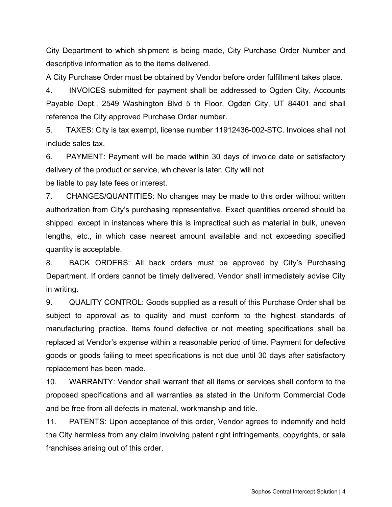City Department to which shipment is being made, City Purchase Order Number and descriptive information as to the items delivered.

A City Purchase Order must be obtained by Vendor before order fulfillment takes place.

4. INVOICES submitted for payment shall be addressed to Ogden City, Accounts Payable Dept., 2549 Washington Blvd 5 th Floor, Ogden City, UT 84401 and shall reference the City approved Purchase Order number.

5. TAXES: City is tax exempt, license number 11912436-002-STC. Invoices shall not include sales tax.

6. PAYMENT: Payment will be made within 30 days of invoice date or satisfactory delivery of the product or service, whichever is later. City will not

be liable to pay late fees or interest.

7. CHANGES/QUANTITIES: No changes may be made to this order without written authorization from City's purchasing representative. Exact quantities ordered should be shipped, except in instances where this is impractical such as material in bulk, uneven lengths, etc., in which case nearest amount available and not exceeding specified quantity is acceptable.

8. BACK ORDERS: All back orders must be approved by City's Purchasing Department. If orders cannot be timely delivered, Vendor shall immediately advise City in writing.

9. QUALITY CONTROL: Goods supplied as a result of this Purchase Order shall be subject to approval as to quality and must conform to the highest standards of manufacturing practice. Items found defective or not meeting specifications shall be replaced at Vendor's expense within a reasonable period of time. Payment for defective goods or goods failing to meet specifications is not due until 30 days after satisfactory replacement has been made.

10. WARRANTY: Vendor shall warrant that all items or services shall conform to the proposed specifications and all warranties as stated in the Uniform Commercial Code and be free from all defects in material, workmanship and title.

11. PATENTS: Upon acceptance of this order, Vendor agrees to indemnify and hold the City harmless from any claim involving patent right infringements, copyrights, or sale franchises arising out of this order.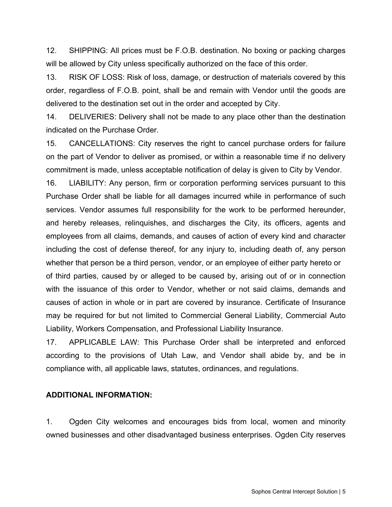12. SHIPPING: All prices must be F.O.B. destination. No boxing or packing charges will be allowed by City unless specifically authorized on the face of this order.

13. RISK OF LOSS: Risk of loss, damage, or destruction of materials covered by this order, regardless of F.O.B. point, shall be and remain with Vendor until the goods are delivered to the destination set out in the order and accepted by City.

14. DELIVERIES: Delivery shall not be made to any place other than the destination indicated on the Purchase Order.

15. CANCELLATIONS: City reserves the right to cancel purchase orders for failure on the part of Vendor to deliver as promised, or within a reasonable time if no delivery commitment is made, unless acceptable notification of delay is given to City by Vendor.

16. LIABILITY: Any person, firm or corporation performing services pursuant to this Purchase Order shall be liable for all damages incurred while in performance of such services. Vendor assumes full responsibility for the work to be performed hereunder, and hereby releases, relinquishes, and discharges the City, its officers, agents and employees from all claims, demands, and causes of action of every kind and character including the cost of defense thereof, for any injury to, including death of, any person whether that person be a third person, vendor, or an employee of either party hereto or of third parties, caused by or alleged to be caused by, arising out of or in connection with the issuance of this order to Vendor, whether or not said claims, demands and causes of action in whole or in part are covered by insurance. Certificate of Insurance may be required for but not limited to Commercial General Liability, Commercial Auto Liability, Workers Compensation, and Professional Liability Insurance.

17. APPLICABLE LAW: This Purchase Order shall be interpreted and enforced according to the provisions of Utah Law, and Vendor shall abide by, and be in compliance with, all applicable laws, statutes, ordinances, and regulations.

#### **ADDITIONAL INFORMATION:**

1. Ogden City welcomes and encourages bids from local, women and minority owned businesses and other disadvantaged business enterprises. Ogden City reserves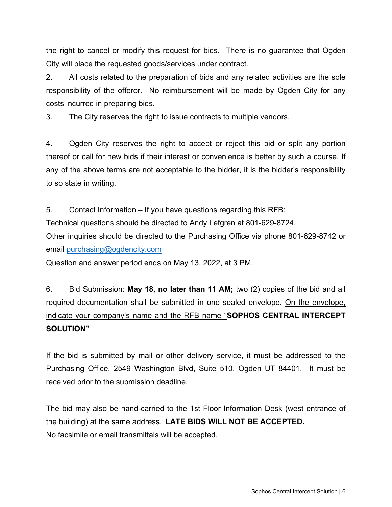the right to cancel or modify this request for bids. There is no guarantee that Ogden City will place the requested goods/services under contract.

2. All costs related to the preparation of bids and any related activities are the sole responsibility of the offeror. No reimbursement will be made by Ogden City for any costs incurred in preparing bids.

3. The City reserves the right to issue contracts to multiple vendors.

4. Ogden City reserves the right to accept or reject this bid or split any portion thereof or call for new bids if their interest or convenience is better by such a course. If any of the above terms are not acceptable to the bidder, it is the bidder's responsibility to so state in writing.

5. Contact Information – If you have questions regarding this RFB: Technical questions should be directed to Andy Lefgren at 801-629-8724. Other inquiries should be directed to the Purchasing Office via phone 801-629-8742 or email purchasing@ogdencity.com

Question and answer period ends on May 13, 2022, at 3 PM.

6. Bid Submission: **May 18, no later than 11 AM;** two (2) copies of the bid and all required documentation shall be submitted in one sealed envelope. On the envelope, indicate your company's name and the RFB name "**SOPHOS CENTRAL INTERCEPT SOLUTION"**

If the bid is submitted by mail or other delivery service, it must be addressed to the Purchasing Office, 2549 Washington Blvd, Suite 510, Ogden UT 84401. It must be received prior to the submission deadline.

The bid may also be hand-carried to the 1st Floor Information Desk (west entrance of the building) at the same address. **LATE BIDS WILL NOT BE ACCEPTED.** No facsimile or email transmittals will be accepted.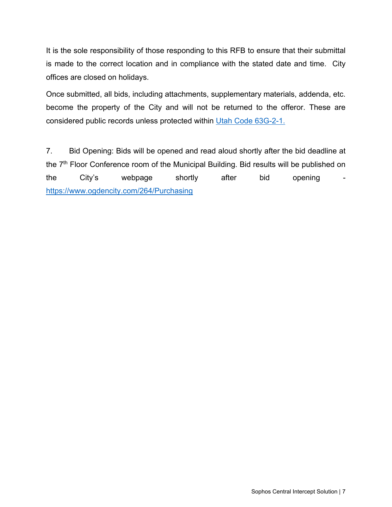It is the sole responsibility of those responding to this RFB to ensure that their submittal is made to the correct location and in compliance with the stated date and time. City offices are closed on holidays.

Once submitted, all bids, including attachments, supplementary materials, addenda, etc. become the property of the City and will not be returned to the offeror. These are considered public records unless protected within Utah Code 63G-2-1.

7. Bid Opening: Bids will be opened and read aloud shortly after the bid deadline at the 7<sup>th</sup> Floor Conference room of the Municipal Building. Bid results will be published on the City's webpage shortly after bid opening https://www.ogdencity.com/264/Purchasing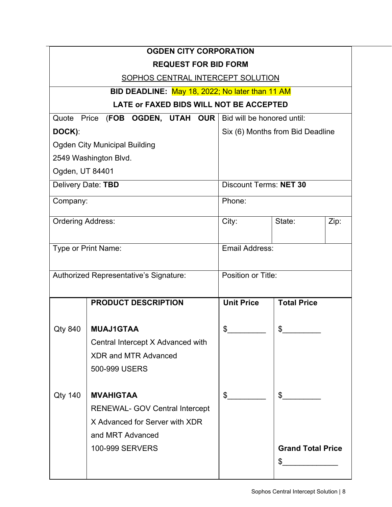|                                          | <b>OGDEN CITY CORPORATION</b>                   |                                  |                          |      |
|------------------------------------------|-------------------------------------------------|----------------------------------|--------------------------|------|
|                                          | <b>REQUEST FOR BID FORM</b>                     |                                  |                          |      |
| <b>SOPHOS CENTRAL INTERCEPT SOLUTION</b> |                                                 |                                  |                          |      |
|                                          | BID DEADLINE: May 18, 2022; No later than 11 AM |                                  |                          |      |
| LATE or FAXED BIDS WILL NOT BE ACCEPTED  |                                                 |                                  |                          |      |
|                                          | Quote Price (FOB OGDEN, UTAH OUR                | Bid will be honored until:       |                          |      |
| DOCK):                                   |                                                 | Six (6) Months from Bid Deadline |                          |      |
| <b>Ogden City Municipal Building</b>     |                                                 |                                  |                          |      |
| 2549 Washington Blvd.                    |                                                 |                                  |                          |      |
| Ogden, UT 84401                          |                                                 |                                  |                          |      |
| Delivery Date: TBD                       |                                                 | <b>Discount Terms: NET 30</b>    |                          |      |
| Company:                                 |                                                 | Phone:                           |                          |      |
|                                          |                                                 |                                  |                          |      |
| <b>Ordering Address:</b>                 |                                                 | City:                            | State:                   | Zip: |
| Type or Print Name:                      |                                                 |                                  |                          |      |
|                                          |                                                 | Email Address:                   |                          |      |
| Authorized Representative's Signature:   |                                                 | Position or Title:               |                          |      |
|                                          |                                                 |                                  |                          |      |
|                                          | <b>PRODUCT DESCRIPTION</b>                      | <b>Unit Price</b>                | <b>Total Price</b>       |      |
|                                          |                                                 |                                  |                          |      |
| Qty 840                                  | <b>MUAJ1GTAA</b>                                | \$                               |                          |      |
|                                          | Central Intercept X Advanced with               |                                  |                          |      |
|                                          | <b>XDR and MTR Advanced</b>                     |                                  |                          |      |
|                                          | 500-999 USERS                                   |                                  |                          |      |
|                                          |                                                 |                                  |                          |      |
| <b>Qty 140</b>                           | <b>MVAHIGTAA</b>                                | \$                               | $\mathbb{S}$             |      |
|                                          | <b>RENEWAL- GOV Central Intercept</b>           |                                  |                          |      |
|                                          | X Advanced for Server with XDR                  |                                  |                          |      |
|                                          | and MRT Advanced                                |                                  |                          |      |
|                                          | <b>100-999 SERVERS</b>                          |                                  | <b>Grand Total Price</b> |      |
|                                          |                                                 |                                  | \$                       |      |
|                                          |                                                 |                                  |                          |      |